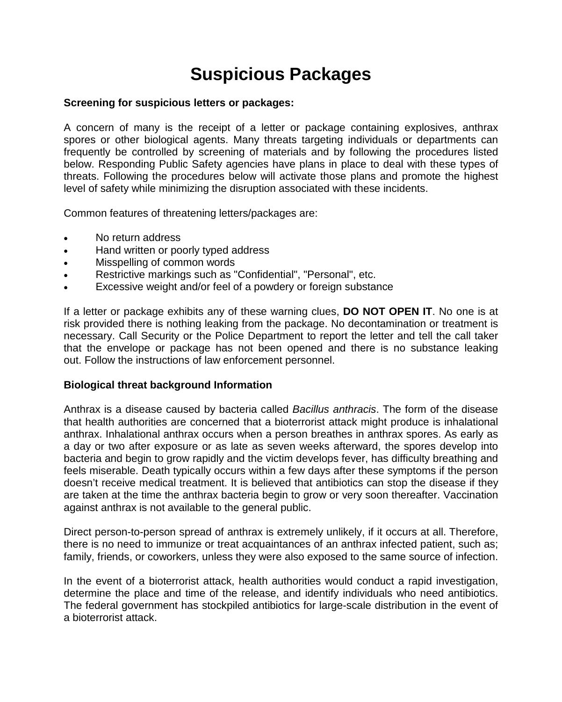# **Suspicious Packages**

#### **Screening for suspicious letters or packages:**

A concern of many is the receipt of a letter or package containing explosives, anthrax spores or other biological agents. Many threats targeting individuals or departments can frequently be controlled by screening of materials and by following the procedures listed below. Responding Public Safety agencies have plans in place to deal with these types of threats. Following the procedures below will activate those plans and promote the highest level of safety while minimizing the disruption associated with these incidents.

Common features of threatening letters/packages are:

- No return address
- Hand written or poorly typed address
- Misspelling of common words
- Restrictive markings such as "Confidential", "Personal", etc.
- Excessive weight and/or feel of a powdery or foreign substance

If a letter or package exhibits any of these warning clues, **DO NOT OPEN IT**. No one is at risk provided there is nothing leaking from the package. No decontamination or treatment is necessary. Call Security or the Police Department to report the letter and tell the call taker that the envelope or package has not been opened and there is no substance leaking out. Follow the instructions of law enforcement personnel.

#### **Biological threat background Information**

Anthrax is a disease caused by bacteria called *Bacillus anthracis*. The form of the disease that health authorities are concerned that a bioterrorist attack might produce is inhalational anthrax. Inhalational anthrax occurs when a person breathes in anthrax spores. As early as a day or two after exposure or as late as seven weeks afterward, the spores develop into bacteria and begin to grow rapidly and the victim develops fever, has difficulty breathing and feels miserable. Death typically occurs within a few days after these symptoms if the person doesn't receive medical treatment. It is believed that antibiotics can stop the disease if they are taken at the time the anthrax bacteria begin to grow or very soon thereafter. Vaccination against anthrax is not available to the general public.

Direct person-to-person spread of anthrax is extremely unlikely, if it occurs at all. Therefore, there is no need to immunize or treat acquaintances of an anthrax infected patient, such as; family, friends, or coworkers, unless they were also exposed to the same source of infection.

In the event of a bioterrorist attack, health authorities would conduct a rapid investigation, determine the place and time of the release, and identify individuals who need antibiotics. The federal government has stockpiled antibiotics for large-scale distribution in the event of a bioterrorist attack.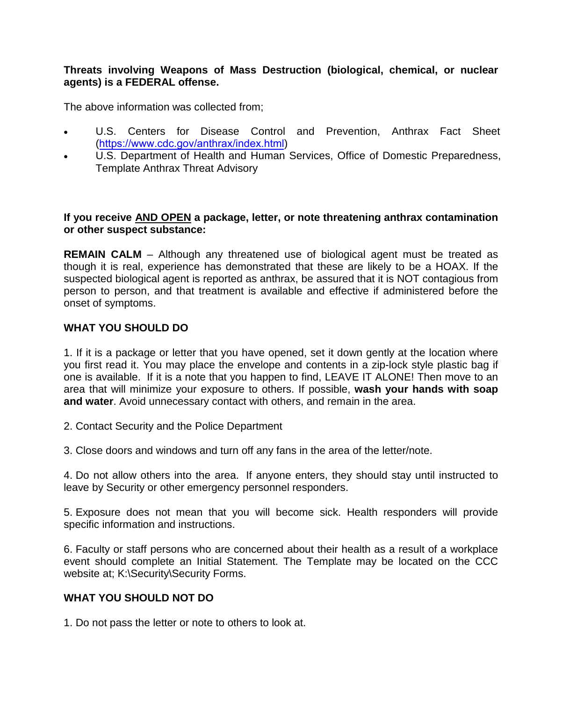#### **Threats involving Weapons of Mass Destruction (biological, chemical, or nuclear agents) is a FEDERAL offense.**

The above information was collected from;

- U.S. Centers for Disease Control and Prevention, Anthrax Fact Sheet (<https://www.cdc.gov/anthrax/index.html>)
- U.S. Department of Health and Human Services, Office of Domestic Preparedness, Template Anthrax Threat Advisory

#### **If you receive AND OPEN a package, letter, or note threatening anthrax contamination or other suspect substance:**

**REMAIN CALM** – Although any threatened use of biological agent must be treated as though it is real, experience has demonstrated that these are likely to be a HOAX. If the suspected biological agent is reported as anthrax, be assured that it is NOT contagious from person to person, and that treatment is available and effective if administered before the onset of symptoms.

## **WHAT YOU SHOULD DO**

1. If it is a package or letter that you have opened, set it down gently at the location where you first read it. You may place the envelope and contents in a zip-lock style plastic bag if one is available. If it is a note that you happen to find, LEAVE IT ALONE! Then move to an area that will minimize your exposure to others. If possible, **wash your hands with soap and water**. Avoid unnecessary contact with others, and remain in the area.

2. Contact Security and the Police Department

3. Close doors and windows and turn off any fans in the area of the letter/note.

4. Do not allow others into the area. If anyone enters, they should stay until instructed to leave by Security or other emergency personnel responders.

5. Exposure does not mean that you will become sick. Health responders will provide specific information and instructions.

6. Faculty or staff persons who are concerned about their health as a result of a workplace event should complete an Initial Statement. The Template may be located on the CCC website at; K:\Security\Security Forms.

### **WHAT YOU SHOULD NOT DO**

1. Do not pass the letter or note to others to look at.